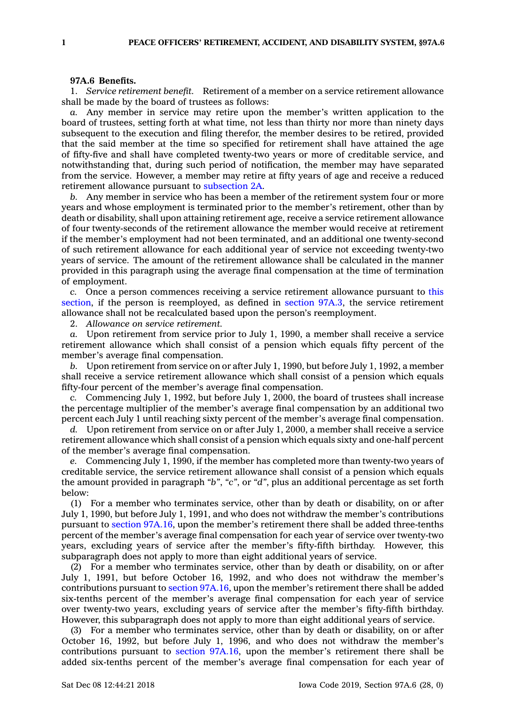## **97A.6 Benefits.**

1. *Service retirement benefit.* Retirement of <sup>a</sup> member on <sup>a</sup> service retirement allowance shall be made by the board of trustees as follows:

*a.* Any member in service may retire upon the member's written application to the board of trustees, setting forth at what time, not less than thirty nor more than ninety days subsequent to the execution and filing therefor, the member desires to be retired, provided that the said member at the time so specified for retirement shall have attained the age of fifty-five and shall have completed twenty-two years or more of creditable service, and notwithstanding that, during such period of notification, the member may have separated from the service. However, <sup>a</sup> member may retire at fifty years of age and receive <sup>a</sup> reduced retirement allowance pursuant to [subsection](https://www.legis.iowa.gov/docs/code/97A.6.pdf) 2A.

*b.* Any member in service who has been <sup>a</sup> member of the retirement system four or more years and whose employment is terminated prior to the member's retirement, other than by death or disability, shall upon attaining retirement age, receive <sup>a</sup> service retirement allowance of four twenty-seconds of the retirement allowance the member would receive at retirement if the member's employment had not been terminated, and an additional one twenty-second of such retirement allowance for each additional year of service not exceeding twenty-two years of service. The amount of the retirement allowance shall be calculated in the manner provided in this paragraph using the average final compensation at the time of termination of employment.

*c.* Once <sup>a</sup> person commences receiving <sup>a</sup> service retirement allowance pursuant to [this](https://www.legis.iowa.gov/docs/code/97A.6.pdf) [section](https://www.legis.iowa.gov/docs/code/97A.6.pdf), if the person is reemployed, as defined in [section](https://www.legis.iowa.gov/docs/code/97A.3.pdf) 97A.3, the service retirement allowance shall not be recalculated based upon the person's reemployment.

2. *Allowance on service retirement.*

*a.* Upon retirement from service prior to July 1, 1990, <sup>a</sup> member shall receive <sup>a</sup> service retirement allowance which shall consist of <sup>a</sup> pension which equals fifty percent of the member's average final compensation.

*b.* Upon retirement from service on or after July 1, 1990, but before July 1, 1992, <sup>a</sup> member shall receive <sup>a</sup> service retirement allowance which shall consist of <sup>a</sup> pension which equals fifty-four percent of the member's average final compensation.

*c.* Commencing July 1, 1992, but before July 1, 2000, the board of trustees shall increase the percentage multiplier of the member's average final compensation by an additional two percent each July 1 until reaching sixty percent of the member's average final compensation.

*d.* Upon retirement from service on or after July 1, 2000, <sup>a</sup> member shall receive <sup>a</sup> service retirement allowance which shall consist of <sup>a</sup> pension which equals sixty and one-half percent of the member's average final compensation.

*e.* Commencing July 1, 1990, if the member has completed more than twenty-two years of creditable service, the service retirement allowance shall consist of <sup>a</sup> pension which equals the amount provided in paragraph *"b"*, *"c"*, or *"d"*, plus an additional percentage as set forth below:

(1) For <sup>a</sup> member who terminates service, other than by death or disability, on or after July 1, 1990, but before July 1, 1991, and who does not withdraw the member's contributions pursuant to section [97A.16](https://www.legis.iowa.gov/docs/code/97A.16.pdf), upon the member's retirement there shall be added three-tenths percent of the member's average final compensation for each year of service over twenty-two years, excluding years of service after the member's fifty-fifth birthday. However, this subparagraph does not apply to more than eight additional years of service.

(2) For <sup>a</sup> member who terminates service, other than by death or disability, on or after July 1, 1991, but before October 16, 1992, and who does not withdraw the member's contributions pursuant to section [97A.16](https://www.legis.iowa.gov/docs/code/97A.16.pdf), upon the member's retirement there shall be added six-tenths percent of the member's average final compensation for each year of service over twenty-two years, excluding years of service after the member's fifty-fifth birthday. However, this subparagraph does not apply to more than eight additional years of service.

(3) For <sup>a</sup> member who terminates service, other than by death or disability, on or after October 16, 1992, but before July 1, 1996, and who does not withdraw the member's contributions pursuant to section [97A.16](https://www.legis.iowa.gov/docs/code/97A.16.pdf), upon the member's retirement there shall be added six-tenths percent of the member's average final compensation for each year of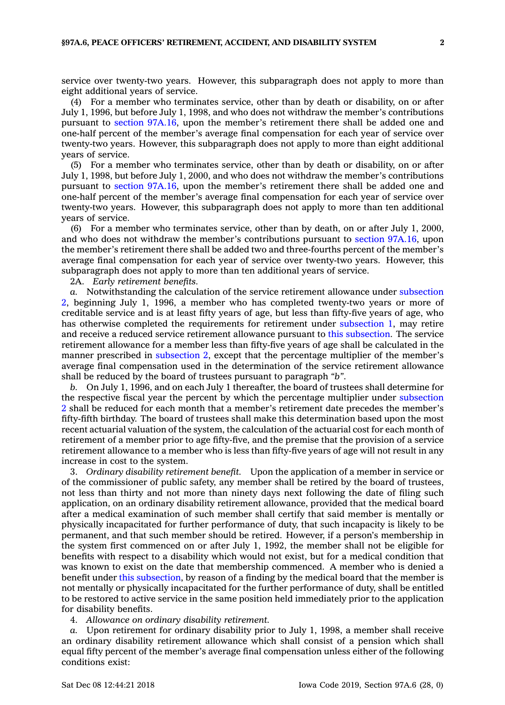service over twenty-two years. However, this subparagraph does not apply to more than eight additional years of service.

(4) For <sup>a</sup> member who terminates service, other than by death or disability, on or after July 1, 1996, but before July 1, 1998, and who does not withdraw the member's contributions pursuant to section [97A.16](https://www.legis.iowa.gov/docs/code/97A.16.pdf), upon the member's retirement there shall be added one and one-half percent of the member's average final compensation for each year of service over twenty-two years. However, this subparagraph does not apply to more than eight additional years of service.

(5) For <sup>a</sup> member who terminates service, other than by death or disability, on or after July 1, 1998, but before July 1, 2000, and who does not withdraw the member's contributions pursuant to section [97A.16](https://www.legis.iowa.gov/docs/code/97A.16.pdf), upon the member's retirement there shall be added one and one-half percent of the member's average final compensation for each year of service over twenty-two years. However, this subparagraph does not apply to more than ten additional years of service.

(6) For <sup>a</sup> member who terminates service, other than by death, on or after July 1, 2000, and who does not withdraw the member's contributions pursuant to section [97A.16](https://www.legis.iowa.gov/docs/code/97A.16.pdf), upon the member's retirement there shall be added two and three-fourths percent of the member's average final compensation for each year of service over twenty-two years. However, this subparagraph does not apply to more than ten additional years of service.

2A. *Early retirement benefits.*

*a.* Notwithstanding the calculation of the service retirement allowance under [subsection](https://www.legis.iowa.gov/docs/code/97A.6.pdf) [2](https://www.legis.iowa.gov/docs/code/97A.6.pdf), beginning July 1, 1996, <sup>a</sup> member who has completed twenty-two years or more of creditable service and is at least fifty years of age, but less than fifty-five years of age, who has otherwise completed the requirements for retirement under [subsection](https://www.legis.iowa.gov/docs/code/97A.6.pdf) 1, may retire and receive <sup>a</sup> reduced service retirement allowance pursuant to this [subsection](https://www.legis.iowa.gov/docs/code/97A.6.pdf). The service retirement allowance for <sup>a</sup> member less than fifty-five years of age shall be calculated in the manner prescribed in [subsection](https://www.legis.iowa.gov/docs/code/97A.6.pdf) 2, except that the percentage multiplier of the member's average final compensation used in the determination of the service retirement allowance shall be reduced by the board of trustees pursuant to paragraph *"b"*.

*b.* On July 1, 1996, and on each July 1 thereafter, the board of trustees shall determine for the respective fiscal year the percent by which the percentage multiplier under [subsection](https://www.legis.iowa.gov/docs/code/97A.6.pdf) [2](https://www.legis.iowa.gov/docs/code/97A.6.pdf) shall be reduced for each month that <sup>a</sup> member's retirement date precedes the member's fifty-fifth birthday. The board of trustees shall make this determination based upon the most recent actuarial valuation of the system, the calculation of the actuarial cost for each month of retirement of <sup>a</sup> member prior to age fifty-five, and the premise that the provision of <sup>a</sup> service retirement allowance to <sup>a</sup> member who is less than fifty-five years of age will not result in any increase in cost to the system.

3. *Ordinary disability retirement benefit.* Upon the application of <sup>a</sup> member in service or of the commissioner of public safety, any member shall be retired by the board of trustees, not less than thirty and not more than ninety days next following the date of filing such application, on an ordinary disability retirement allowance, provided that the medical board after <sup>a</sup> medical examination of such member shall certify that said member is mentally or physically incapacitated for further performance of duty, that such incapacity is likely to be permanent, and that such member should be retired. However, if <sup>a</sup> person's membership in the system first commenced on or after July 1, 1992, the member shall not be eligible for benefits with respect to <sup>a</sup> disability which would not exist, but for <sup>a</sup> medical condition that was known to exist on the date that membership commenced. A member who is denied <sup>a</sup> benefit under this [subsection](https://www.legis.iowa.gov/docs/code/97A.6.pdf), by reason of <sup>a</sup> finding by the medical board that the member is not mentally or physically incapacitated for the further performance of duty, shall be entitled to be restored to active service in the same position held immediately prior to the application for disability benefits.

4. *Allowance on ordinary disability retirement.*

*a.* Upon retirement for ordinary disability prior to July 1, 1998, <sup>a</sup> member shall receive an ordinary disability retirement allowance which shall consist of <sup>a</sup> pension which shall equal fifty percent of the member's average final compensation unless either of the following conditions exist: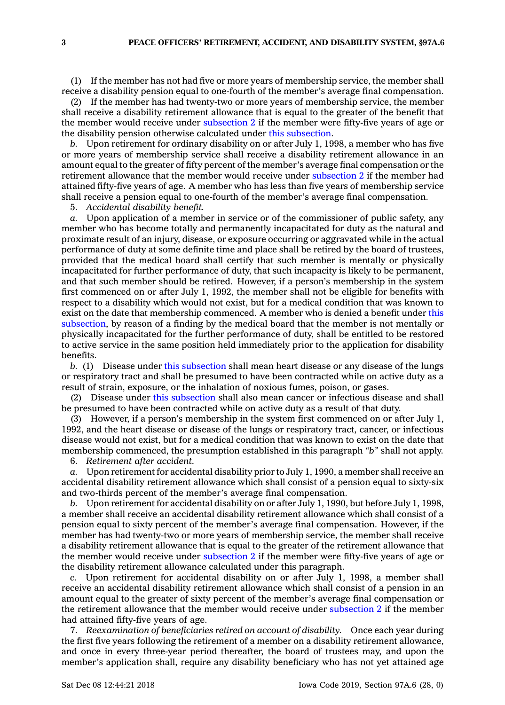(1) If the member has not had five or more years of membership service, the member shall receive <sup>a</sup> disability pension equal to one-fourth of the member's average final compensation.

(2) If the member has had twenty-two or more years of membership service, the member shall receive <sup>a</sup> disability retirement allowance that is equal to the greater of the benefit that the member would receive under [subsection](https://www.legis.iowa.gov/docs/code/97A.6.pdf) 2 if the member were fifty-five years of age or the disability pension otherwise calculated under this [subsection](https://www.legis.iowa.gov/docs/code/97A.6.pdf).

*b.* Upon retirement for ordinary disability on or after July 1, 1998, <sup>a</sup> member who has five or more years of membership service shall receive <sup>a</sup> disability retirement allowance in an amount equal to the greater of fifty percent of the member's average final compensation or the retirement allowance that the member would receive under [subsection](https://www.legis.iowa.gov/docs/code/97A.6.pdf) 2 if the member had attained fifty-five years of age. A member who has less than five years of membership service shall receive <sup>a</sup> pension equal to one-fourth of the member's average final compensation.

5. *Accidental disability benefit.*

*a.* Upon application of <sup>a</sup> member in service or of the commissioner of public safety, any member who has become totally and permanently incapacitated for duty as the natural and proximate result of an injury, disease, or exposure occurring or aggravated while in the actual performance of duty at some definite time and place shall be retired by the board of trustees, provided that the medical board shall certify that such member is mentally or physically incapacitated for further performance of duty, that such incapacity is likely to be permanent, and that such member should be retired. However, if <sup>a</sup> person's membership in the system first commenced on or after July 1, 1992, the member shall not be eligible for benefits with respect to <sup>a</sup> disability which would not exist, but for <sup>a</sup> medical condition that was known to exist on the date that membership commenced. A member who is denied <sup>a</sup> benefit under [this](https://www.legis.iowa.gov/docs/code/97A.6.pdf) [subsection](https://www.legis.iowa.gov/docs/code/97A.6.pdf), by reason of <sup>a</sup> finding by the medical board that the member is not mentally or physically incapacitated for the further performance of duty, shall be entitled to be restored to active service in the same position held immediately prior to the application for disability benefits.

*b.* (1) Disease under this [subsection](https://www.legis.iowa.gov/docs/code/97A.6.pdf) shall mean heart disease or any disease of the lungs or respiratory tract and shall be presumed to have been contracted while on active duty as <sup>a</sup> result of strain, exposure, or the inhalation of noxious fumes, poison, or gases.

(2) Disease under this [subsection](https://www.legis.iowa.gov/docs/code/97A.6.pdf) shall also mean cancer or infectious disease and shall be presumed to have been contracted while on active duty as <sup>a</sup> result of that duty.

(3) However, if <sup>a</sup> person's membership in the system first commenced on or after July 1, 1992, and the heart disease or disease of the lungs or respiratory tract, cancer, or infectious disease would not exist, but for <sup>a</sup> medical condition that was known to exist on the date that membership commenced, the presumption established in this paragraph *"b"* shall not apply.

6. *Retirement after accident.*

*a.* Upon retirement for accidental disability prior to July 1, 1990, <sup>a</sup> member shall receive an accidental disability retirement allowance which shall consist of <sup>a</sup> pension equal to sixty-six and two-thirds percent of the member's average final compensation.

*b.* Upon retirement for accidental disability on or after July 1, 1990, but before July 1, 1998, <sup>a</sup> member shall receive an accidental disability retirement allowance which shall consist of <sup>a</sup> pension equal to sixty percent of the member's average final compensation. However, if the member has had twenty-two or more years of membership service, the member shall receive <sup>a</sup> disability retirement allowance that is equal to the greater of the retirement allowance that the member would receive under [subsection](https://www.legis.iowa.gov/docs/code/97A.6.pdf) 2 if the member were fifty-five years of age or the disability retirement allowance calculated under this paragraph.

*c.* Upon retirement for accidental disability on or after July 1, 1998, <sup>a</sup> member shall receive an accidental disability retirement allowance which shall consist of <sup>a</sup> pension in an amount equal to the greater of sixty percent of the member's average final compensation or the retirement allowance that the member would receive under [subsection](https://www.legis.iowa.gov/docs/code/97A.6.pdf) 2 if the member had attained fifty-five years of age.

7. *Reexamination of beneficiaries retired on account of disability.* Once each year during the first five years following the retirement of <sup>a</sup> member on <sup>a</sup> disability retirement allowance, and once in every three-year period thereafter, the board of trustees may, and upon the member's application shall, require any disability beneficiary who has not yet attained age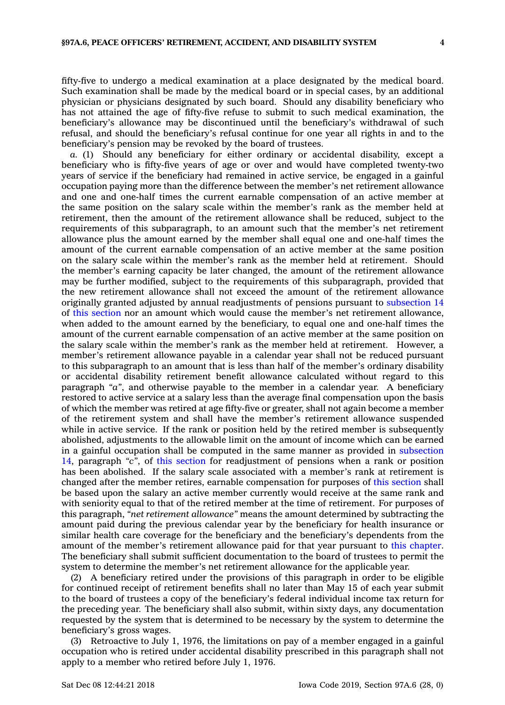fifty-five to undergo <sup>a</sup> medical examination at <sup>a</sup> place designated by the medical board. Such examination shall be made by the medical board or in special cases, by an additional physician or physicians designated by such board. Should any disability beneficiary who has not attained the age of fifty-five refuse to submit to such medical examination, the beneficiary's allowance may be discontinued until the beneficiary's withdrawal of such refusal, and should the beneficiary's refusal continue for one year all rights in and to the beneficiary's pension may be revoked by the board of trustees.

*a.* (1) Should any beneficiary for either ordinary or accidental disability, except <sup>a</sup> beneficiary who is fifty-five years of age or over and would have completed twenty-two years of service if the beneficiary had remained in active service, be engaged in <sup>a</sup> gainful occupation paying more than the difference between the member's net retirement allowance and one and one-half times the current earnable compensation of an active member at the same position on the salary scale within the member's rank as the member held at retirement, then the amount of the retirement allowance shall be reduced, subject to the requirements of this subparagraph, to an amount such that the member's net retirement allowance plus the amount earned by the member shall equal one and one-half times the amount of the current earnable compensation of an active member at the same position on the salary scale within the member's rank as the member held at retirement. Should the member's earning capacity be later changed, the amount of the retirement allowance may be further modified, subject to the requirements of this subparagraph, provided that the new retirement allowance shall not exceed the amount of the retirement allowance originally granted adjusted by annual readjustments of pensions pursuant to [subsection](https://www.legis.iowa.gov/docs/code/97A.6.pdf) 14 of this [section](https://www.legis.iowa.gov/docs/code/97A.6.pdf) nor an amount which would cause the member's net retirement allowance, when added to the amount earned by the beneficiary, to equal one and one-half times the amount of the current earnable compensation of an active member at the same position on the salary scale within the member's rank as the member held at retirement. However, <sup>a</sup> member's retirement allowance payable in <sup>a</sup> calendar year shall not be reduced pursuant to this subparagraph to an amount that is less than half of the member's ordinary disability or accidental disability retirement benefit allowance calculated without regard to this paragraph *"a"*, and otherwise payable to the member in <sup>a</sup> calendar year. A beneficiary restored to active service at <sup>a</sup> salary less than the average final compensation upon the basis of which the member was retired at age fifty-five or greater, shall not again become <sup>a</sup> member of the retirement system and shall have the member's retirement allowance suspended while in active service. If the rank or position held by the retired member is subsequently abolished, adjustments to the allowable limit on the amount of income which can be earned in <sup>a</sup> gainful occupation shall be computed in the same manner as provided in [subsection](https://www.legis.iowa.gov/docs/code/97A.6.pdf) [14](https://www.legis.iowa.gov/docs/code/97A.6.pdf), paragraph *"c"*, of this [section](https://www.legis.iowa.gov/docs/code/97A.6.pdf) for readjustment of pensions when <sup>a</sup> rank or position has been abolished. If the salary scale associated with <sup>a</sup> member's rank at retirement is changed after the member retires, earnable compensation for purposes of this [section](https://www.legis.iowa.gov/docs/code/97A.6.pdf) shall be based upon the salary an active member currently would receive at the same rank and with seniority equal to that of the retired member at the time of retirement. For purposes of this paragraph, *"net retirement allowance"* means the amount determined by subtracting the amount paid during the previous calendar year by the beneficiary for health insurance or similar health care coverage for the beneficiary and the beneficiary's dependents from the amount of the member's retirement allowance paid for that year pursuant to this [chapter](https://www.legis.iowa.gov/docs/code//97A.pdf). The beneficiary shall submit sufficient documentation to the board of trustees to permit the system to determine the member's net retirement allowance for the applicable year.

(2) A beneficiary retired under the provisions of this paragraph in order to be eligible for continued receipt of retirement benefits shall no later than May 15 of each year submit to the board of trustees <sup>a</sup> copy of the beneficiary's federal individual income tax return for the preceding year. The beneficiary shall also submit, within sixty days, any documentation requested by the system that is determined to be necessary by the system to determine the beneficiary's gross wages.

(3) Retroactive to July 1, 1976, the limitations on pay of <sup>a</sup> member engaged in <sup>a</sup> gainful occupation who is retired under accidental disability prescribed in this paragraph shall not apply to <sup>a</sup> member who retired before July 1, 1976.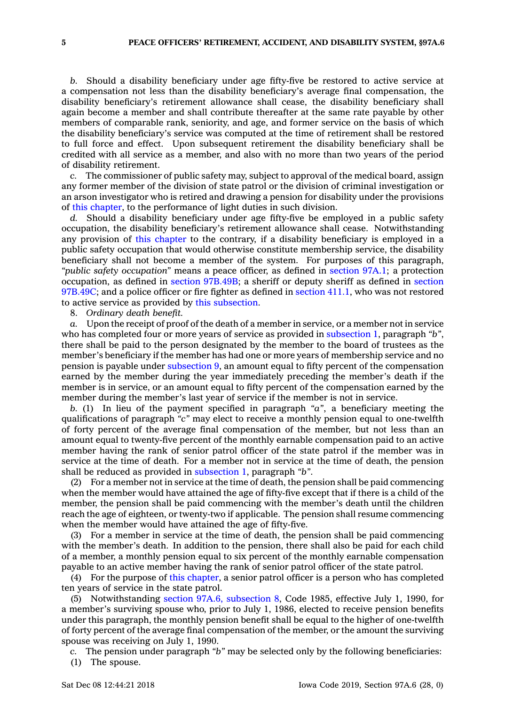*b.* Should <sup>a</sup> disability beneficiary under age fifty-five be restored to active service at <sup>a</sup> compensation not less than the disability beneficiary's average final compensation, the disability beneficiary's retirement allowance shall cease, the disability beneficiary shall again become <sup>a</sup> member and shall contribute thereafter at the same rate payable by other members of comparable rank, seniority, and age, and former service on the basis of which the disability beneficiary's service was computed at the time of retirement shall be restored to full force and effect. Upon subsequent retirement the disability beneficiary shall be credited with all service as <sup>a</sup> member, and also with no more than two years of the period of disability retirement.

The commissioner of public safety may, subject to approval of the medical board, assign any former member of the division of state patrol or the division of criminal investigation or an arson investigator who is retired and drawing <sup>a</sup> pension for disability under the provisions of this [chapter](https://www.legis.iowa.gov/docs/code//97A.pdf), to the performance of light duties in such division.

*d.* Should <sup>a</sup> disability beneficiary under age fifty-five be employed in <sup>a</sup> public safety occupation, the disability beneficiary's retirement allowance shall cease. Notwithstanding any provision of this [chapter](https://www.legis.iowa.gov/docs/code//97A.pdf) to the contrary, if <sup>a</sup> disability beneficiary is employed in <sup>a</sup> public safety occupation that would otherwise constitute membership service, the disability beneficiary shall not become <sup>a</sup> member of the system. For purposes of this paragraph, *"public safety occupation"* means <sup>a</sup> peace officer, as defined in section [97A.1](https://www.legis.iowa.gov/docs/code/97A.1.pdf); <sup>a</sup> protection occupation, as defined in section [97B.49B](https://www.legis.iowa.gov/docs/code/97B.49B.pdf); <sup>a</sup> sheriff or deputy sheriff as defined in [section](https://www.legis.iowa.gov/docs/code/97B.49C.pdf) [97B.49C](https://www.legis.iowa.gov/docs/code/97B.49C.pdf); and <sup>a</sup> police officer or fire fighter as defined in [section](https://www.legis.iowa.gov/docs/code/411.1.pdf) 411.1, who was not restored to active service as provided by this [subsection](https://www.legis.iowa.gov/docs/code/97A.6.pdf).

8. *Ordinary death benefit.*

*a.* Upon the receipt of proof of the death of <sup>a</sup> member in service, or <sup>a</sup> member not in service who has completed four or more years of service as provided in [subsection](https://www.legis.iowa.gov/docs/code/97A.6.pdf) 1, paragraph *"b"*, there shall be paid to the person designated by the member to the board of trustees as the member's beneficiary if the member has had one or more years of membership service and no pension is payable under [subsection](https://www.legis.iowa.gov/docs/code/97A.6.pdf) 9, an amount equal to fifty percent of the compensation earned by the member during the year immediately preceding the member's death if the member is in service, or an amount equal to fifty percent of the compensation earned by the member during the member's last year of service if the member is not in service.

*b.* (1) In lieu of the payment specified in paragraph *"a"*, <sup>a</sup> beneficiary meeting the qualifications of paragraph *"c"* may elect to receive <sup>a</sup> monthly pension equal to one-twelfth of forty percent of the average final compensation of the member, but not less than an amount equal to twenty-five percent of the monthly earnable compensation paid to an active member having the rank of senior patrol officer of the state patrol if the member was in service at the time of death. For <sup>a</sup> member not in service at the time of death, the pension shall be reduced as provided in [subsection](https://www.legis.iowa.gov/docs/code/97A.6.pdf) 1, paragraph *"b"*.

(2) For <sup>a</sup> member not in service at the time of death, the pension shall be paid commencing when the member would have attained the age of fifty-five except that if there is <sup>a</sup> child of the member, the pension shall be paid commencing with the member's death until the children reach the age of eighteen, or twenty-two if applicable. The pension shall resume commencing when the member would have attained the age of fifty-five.

(3) For <sup>a</sup> member in service at the time of death, the pension shall be paid commencing with the member's death. In addition to the pension, there shall also be paid for each child of <sup>a</sup> member, <sup>a</sup> monthly pension equal to six percent of the monthly earnable compensation payable to an active member having the rank of senior patrol officer of the state patrol.

(4) For the purpose of this [chapter](https://www.legis.iowa.gov/docs/code//97A.pdf), <sup>a</sup> senior patrol officer is <sup>a</sup> person who has completed ten years of service in the state patrol.

(5) Notwithstanding section 97A.6, [subsection](https://www.legis.iowa.gov/docs/code/97A.6.pdf) 8, Code 1985, effective July 1, 1990, for <sup>a</sup> member's surviving spouse who, prior to July 1, 1986, elected to receive pension benefits under this paragraph, the monthly pension benefit shall be equal to the higher of one-twelfth of forty percent of the average final compensation of the member, or the amount the surviving spouse was receiving on July 1, 1990.

*c.* The pension under paragraph *"b"* may be selected only by the following beneficiaries:

(1) The spouse.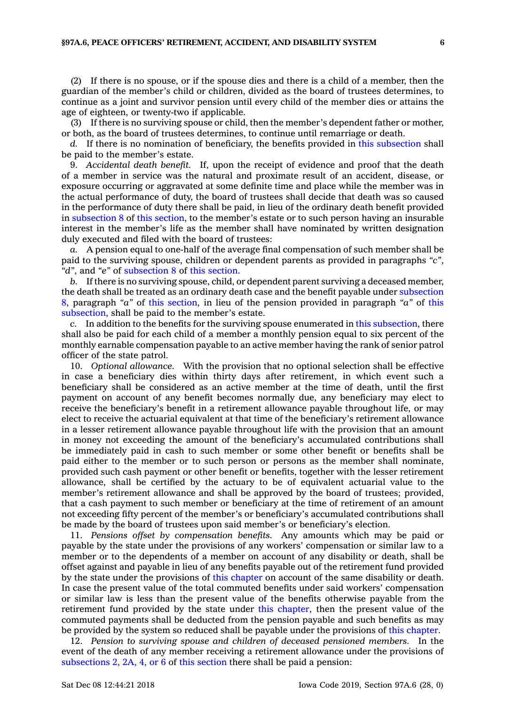(2) If there is no spouse, or if the spouse dies and there is <sup>a</sup> child of <sup>a</sup> member, then the guardian of the member's child or children, divided as the board of trustees determines, to continue as <sup>a</sup> joint and survivor pension until every child of the member dies or attains the age of eighteen, or twenty-two if applicable.

(3) If there is no surviving spouse or child, then the member's dependent father or mother, or both, as the board of trustees determines, to continue until remarriage or death.

*d.* If there is no nomination of beneficiary, the benefits provided in this [subsection](https://www.legis.iowa.gov/docs/code/97A.6.pdf) shall be paid to the member's estate.

9. *Accidental death benefit.* If, upon the receipt of evidence and proof that the death of <sup>a</sup> member in service was the natural and proximate result of an accident, disease, or exposure occurring or aggravated at some definite time and place while the member was in the actual performance of duty, the board of trustees shall decide that death was so caused in the performance of duty there shall be paid, in lieu of the ordinary death benefit provided in [subsection](https://www.legis.iowa.gov/docs/code/97A.6.pdf) 8 of this [section](https://www.legis.iowa.gov/docs/code/97A.6.pdf), to the member's estate or to such person having an insurable interest in the member's life as the member shall have nominated by written designation duly executed and filed with the board of trustees:

*a.* A pension equal to one-half of the average final compensation of such member shall be paid to the surviving spouse, children or dependent parents as provided in paragraphs *"c"*, *"d"*, and *"e"* of [subsection](https://www.legis.iowa.gov/docs/code/97A.6.pdf) 8 of this [section](https://www.legis.iowa.gov/docs/code/97A.6.pdf).

*b.* If there is no surviving spouse, child, or dependent parent surviving <sup>a</sup> deceased member, the death shall be treated as an ordinary death case and the benefit payable under [subsection](https://www.legis.iowa.gov/docs/code/97A.6.pdf) [8](https://www.legis.iowa.gov/docs/code/97A.6.pdf), paragraph *"a"* of this [section](https://www.legis.iowa.gov/docs/code/97A.6.pdf), in lieu of the pension provided in paragraph *"a"* of [this](https://www.legis.iowa.gov/docs/code/97A.6.pdf) [subsection](https://www.legis.iowa.gov/docs/code/97A.6.pdf), shall be paid to the member's estate.

*c.* In addition to the benefits for the surviving spouse enumerated in this [subsection](https://www.legis.iowa.gov/docs/code/97A.6.pdf), there shall also be paid for each child of <sup>a</sup> member <sup>a</sup> monthly pension equal to six percent of the monthly earnable compensation payable to an active member having the rank of senior patrol officer of the state patrol.

10. *Optional allowance.* With the provision that no optional selection shall be effective in case <sup>a</sup> beneficiary dies within thirty days after retirement, in which event such <sup>a</sup> beneficiary shall be considered as an active member at the time of death, until the first payment on account of any benefit becomes normally due, any beneficiary may elect to receive the beneficiary's benefit in <sup>a</sup> retirement allowance payable throughout life, or may elect to receive the actuarial equivalent at that time of the beneficiary's retirement allowance in <sup>a</sup> lesser retirement allowance payable throughout life with the provision that an amount in money not exceeding the amount of the beneficiary's accumulated contributions shall be immediately paid in cash to such member or some other benefit or benefits shall be paid either to the member or to such person or persons as the member shall nominate, provided such cash payment or other benefit or benefits, together with the lesser retirement allowance, shall be certified by the actuary to be of equivalent actuarial value to the member's retirement allowance and shall be approved by the board of trustees; provided, that <sup>a</sup> cash payment to such member or beneficiary at the time of retirement of an amount not exceeding fifty percent of the member's or beneficiary's accumulated contributions shall be made by the board of trustees upon said member's or beneficiary's election.

11. *Pensions offset by compensation benefits.* Any amounts which may be paid or payable by the state under the provisions of any workers' compensation or similar law to <sup>a</sup> member or to the dependents of <sup>a</sup> member on account of any disability or death, shall be offset against and payable in lieu of any benefits payable out of the retirement fund provided by the state under the provisions of this [chapter](https://www.legis.iowa.gov/docs/code//97A.pdf) on account of the same disability or death. In case the present value of the total commuted benefits under said workers' compensation or similar law is less than the present value of the benefits otherwise payable from the retirement fund provided by the state under this [chapter](https://www.legis.iowa.gov/docs/code//97A.pdf), then the present value of the commuted payments shall be deducted from the pension payable and such benefits as may be provided by the system so reduced shall be payable under the provisions of this [chapter](https://www.legis.iowa.gov/docs/code//97A.pdf).

12. *Pension to surviving spouse and children of deceased pensioned members.* In the event of the death of any member receiving <sup>a</sup> retirement allowance under the provisions of [subsections](https://www.legis.iowa.gov/docs/code/97A.6.pdf) 2, 2A, 4, or 6 of this [section](https://www.legis.iowa.gov/docs/code/97A.6.pdf) there shall be paid <sup>a</sup> pension: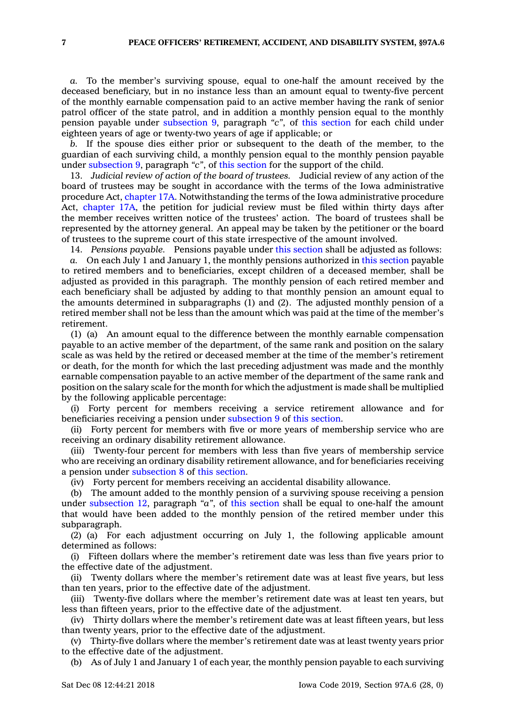*a.* To the member's surviving spouse, equal to one-half the amount received by the deceased beneficiary, but in no instance less than an amount equal to twenty-five percent of the monthly earnable compensation paid to an active member having the rank of senior patrol officer of the state patrol, and in addition <sup>a</sup> monthly pension equal to the monthly pension payable under [subsection](https://www.legis.iowa.gov/docs/code/97A.6.pdf) 9, paragraph *"c"*, of this [section](https://www.legis.iowa.gov/docs/code/97A.6.pdf) for each child under eighteen years of age or twenty-two years of age if applicable; or

*b.* If the spouse dies either prior or subsequent to the death of the member, to the guardian of each surviving child, <sup>a</sup> monthly pension equal to the monthly pension payable under [subsection](https://www.legis.iowa.gov/docs/code/97A.6.pdf) 9, paragraph *"c"*, of this [section](https://www.legis.iowa.gov/docs/code/97A.6.pdf) for the support of the child.

13. *Judicial review of action of the board of trustees.* Judicial review of any action of the board of trustees may be sought in accordance with the terms of the Iowa administrative procedure Act, [chapter](https://www.legis.iowa.gov/docs/code//17A.pdf) 17A. Notwithstanding the terms of the Iowa administrative procedure Act, [chapter](https://www.legis.iowa.gov/docs/code//17A.pdf) 17A, the petition for judicial review must be filed within thirty days after the member receives written notice of the trustees' action. The board of trustees shall be represented by the attorney general. An appeal may be taken by the petitioner or the board of trustees to the supreme court of this state irrespective of the amount involved.

14. *Pensions payable.* Pensions payable under this [section](https://www.legis.iowa.gov/docs/code/97A.6.pdf) shall be adjusted as follows:

*a.* On each July 1 and January 1, the monthly pensions authorized in this [section](https://www.legis.iowa.gov/docs/code/97A.6.pdf) payable to retired members and to beneficiaries, except children of <sup>a</sup> deceased member, shall be adjusted as provided in this paragraph. The monthly pension of each retired member and each beneficiary shall be adjusted by adding to that monthly pension an amount equal to the amounts determined in subparagraphs (1) and (2). The adjusted monthly pension of <sup>a</sup> retired member shall not be less than the amount which was paid at the time of the member's retirement.

(1) (a) An amount equal to the difference between the monthly earnable compensation payable to an active member of the department, of the same rank and position on the salary scale as was held by the retired or deceased member at the time of the member's retirement or death, for the month for which the last preceding adjustment was made and the monthly earnable compensation payable to an active member of the department of the same rank and position on the salary scale for the month for which the adjustment is made shall be multiplied by the following applicable percentage:

(i) Forty percent for members receiving <sup>a</sup> service retirement allowance and for beneficiaries receiving <sup>a</sup> pension under [subsection](https://www.legis.iowa.gov/docs/code/97A.6.pdf) 9 of this [section](https://www.legis.iowa.gov/docs/code/97A.6.pdf).

(ii) Forty percent for members with five or more years of membership service who are receiving an ordinary disability retirement allowance.

(iii) Twenty-four percent for members with less than five years of membership service who are receiving an ordinary disability retirement allowance, and for beneficiaries receiving <sup>a</sup> pension under [subsection](https://www.legis.iowa.gov/docs/code/97A.6.pdf) 8 of this [section](https://www.legis.iowa.gov/docs/code/97A.6.pdf).

(iv) Forty percent for members receiving an accidental disability allowance.

(b) The amount added to the monthly pension of <sup>a</sup> surviving spouse receiving <sup>a</sup> pension under [subsection](https://www.legis.iowa.gov/docs/code/97A.6.pdf) 12, paragraph *"a"*, of this [section](https://www.legis.iowa.gov/docs/code/97A.6.pdf) shall be equal to one-half the amount that would have been added to the monthly pension of the retired member under this subparagraph.

(2) (a) For each adjustment occurring on July 1, the following applicable amount determined as follows:

(i) Fifteen dollars where the member's retirement date was less than five years prior to the effective date of the adjustment.

(ii) Twenty dollars where the member's retirement date was at least five years, but less than ten years, prior to the effective date of the adjustment.

(iii) Twenty-five dollars where the member's retirement date was at least ten years, but less than fifteen years, prior to the effective date of the adjustment.

(iv) Thirty dollars where the member's retirement date was at least fifteen years, but less than twenty years, prior to the effective date of the adjustment.

(v) Thirty-five dollars where the member's retirement date was at least twenty years prior to the effective date of the adjustment.

(b) As of July 1 and January 1 of each year, the monthly pension payable to each surviving